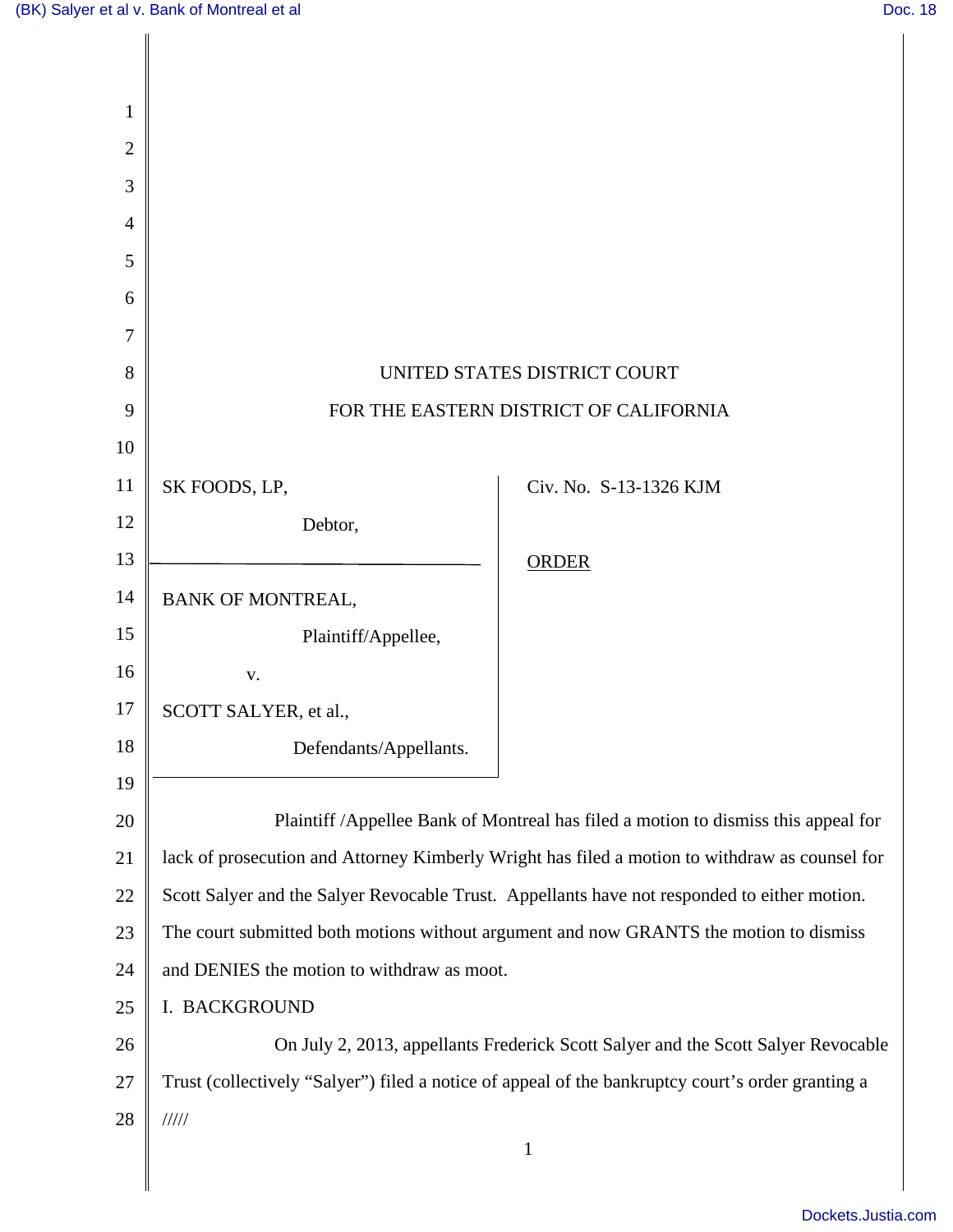| 1              |                                                                                                   |                        |
|----------------|---------------------------------------------------------------------------------------------------|------------------------|
| $\overline{2}$ |                                                                                                   |                        |
| 3              |                                                                                                   |                        |
| $\overline{4}$ |                                                                                                   |                        |
| 5              |                                                                                                   |                        |
| 6              |                                                                                                   |                        |
| 7              |                                                                                                   |                        |
| 8              | UNITED STATES DISTRICT COURT                                                                      |                        |
| 9              | FOR THE EASTERN DISTRICT OF CALIFORNIA                                                            |                        |
| 10             |                                                                                                   |                        |
| 11             | SK FOODS, LP,                                                                                     | Civ. No. S-13-1326 KJM |
| 12             | Debtor,                                                                                           |                        |
| 13             |                                                                                                   | <b>ORDER</b>           |
| 14             | <b>BANK OF MONTREAL,</b>                                                                          |                        |
| 15             | Plaintiff/Appellee,                                                                               |                        |
| 16             | V.                                                                                                |                        |
| 17             | SCOTT SALYER, et al.,                                                                             |                        |
| 18             | Defendants/Appellants.                                                                            |                        |
| 19             |                                                                                                   |                        |
| 20             | Plaintiff / Appellee Bank of Montreal has filed a motion to dismiss this appeal for               |                        |
| 21             | lack of prosecution and Attorney Kimberly Wright has filed a motion to withdraw as counsel for    |                        |
| 22             | Scott Salyer and the Salyer Revocable Trust. Appellants have not responded to either motion.      |                        |
| 23             | The court submitted both motions without argument and now GRANTS the motion to dismiss            |                        |
| 24             | and DENIES the motion to withdraw as moot.                                                        |                        |
| 25             | I. BACKGROUND                                                                                     |                        |
| 26             | On July 2, 2013, appellants Frederick Scott Salyer and the Scott Salyer Revocable                 |                        |
| 27             | Trust (collectively "Salyer") filed a notice of appeal of the bankruptcy court's order granting a |                        |
| 28             | 11111                                                                                             |                        |
|                |                                                                                                   | $\mathbf{1}$           |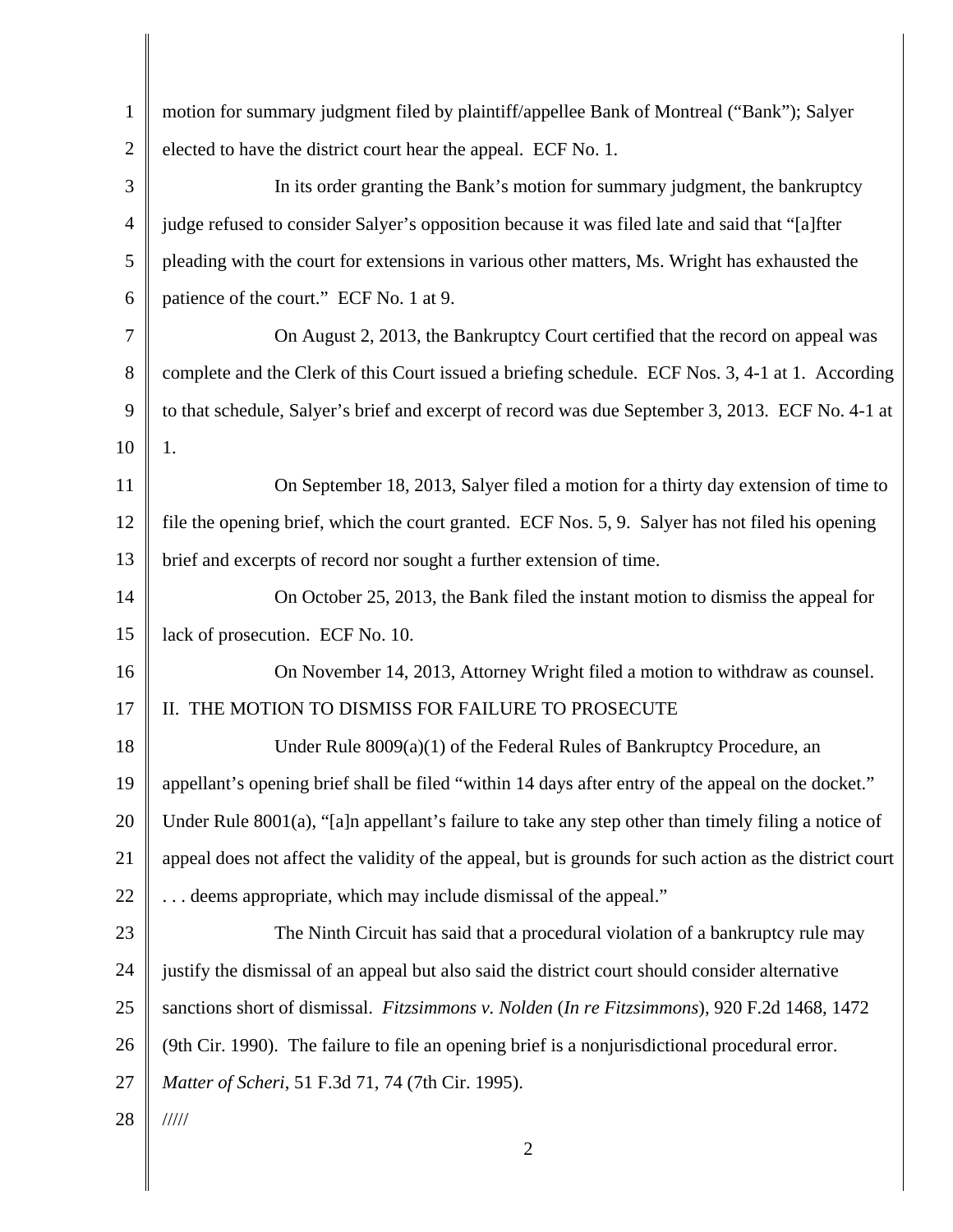| $\mathbf{1}$   | motion for summary judgment filed by plaintiff/appellee Bank of Montreal ("Bank"); Salyer               |
|----------------|---------------------------------------------------------------------------------------------------------|
| $\overline{2}$ | elected to have the district court hear the appeal. ECF No. 1.                                          |
| 3              | In its order granting the Bank's motion for summary judgment, the bankruptcy                            |
| 4              | judge refused to consider Salyer's opposition because it was filed late and said that "[a]fter          |
| 5              | pleading with the court for extensions in various other matters, Ms. Wright has exhausted the           |
| 6              | patience of the court." ECF No. 1 at 9.                                                                 |
| 7              | On August 2, 2013, the Bankruptcy Court certified that the record on appeal was                         |
| 8              | complete and the Clerk of this Court issued a briefing schedule. ECF Nos. 3, 4-1 at 1. According        |
| 9              | to that schedule, Salyer's brief and excerpt of record was due September 3, 2013. ECF No. 4-1 at        |
| 10             | 1.                                                                                                      |
| 11             | On September 18, 2013, Salyer filed a motion for a thirty day extension of time to                      |
| 12             | file the opening brief, which the court granted. ECF Nos. 5, 9. Salyer has not filed his opening        |
| 13             | brief and excerpts of record nor sought a further extension of time.                                    |
| 14             | On October 25, 2013, the Bank filed the instant motion to dismiss the appeal for                        |
| 15             | lack of prosecution. ECF No. 10.                                                                        |
| 16             | On November 14, 2013, Attorney Wright filed a motion to withdraw as counsel.                            |
| 17             | II. THE MOTION TO DISMISS FOR FAILURE TO PROSECUTE                                                      |
| 18             | Under Rule $8009(a)(1)$ of the Federal Rules of Bankruptcy Procedure, an                                |
| 19             | appellant's opening brief shall be filed "within 14 days after entry of the appeal on the docket."      |
| 20             | Under Rule 8001(a), "[a]n appellant's failure to take any step other than timely filing a notice of     |
| 21             | appeal does not affect the validity of the appeal, but is grounds for such action as the district court |
| 22             | deems appropriate, which may include dismissal of the appeal."                                          |
| 23             | The Ninth Circuit has said that a procedural violation of a bankruptcy rule may                         |
| 24             | justify the dismissal of an appeal but also said the district court should consider alternative         |
| 25             | sanctions short of dismissal. Fitzsimmons v. Nolden (In re Fitzsimmons), 920 F.2d 1468, 1472            |
| 26             | (9th Cir. 1990). The failure to file an opening brief is a nonjurisdictional procedural error.          |
| 27             | Matter of Scheri, 51 F.3d 71, 74 (7th Cir. 1995).                                                       |
| 28             | $\frac{1}{1}$                                                                                           |
|                | $\overline{2}$                                                                                          |